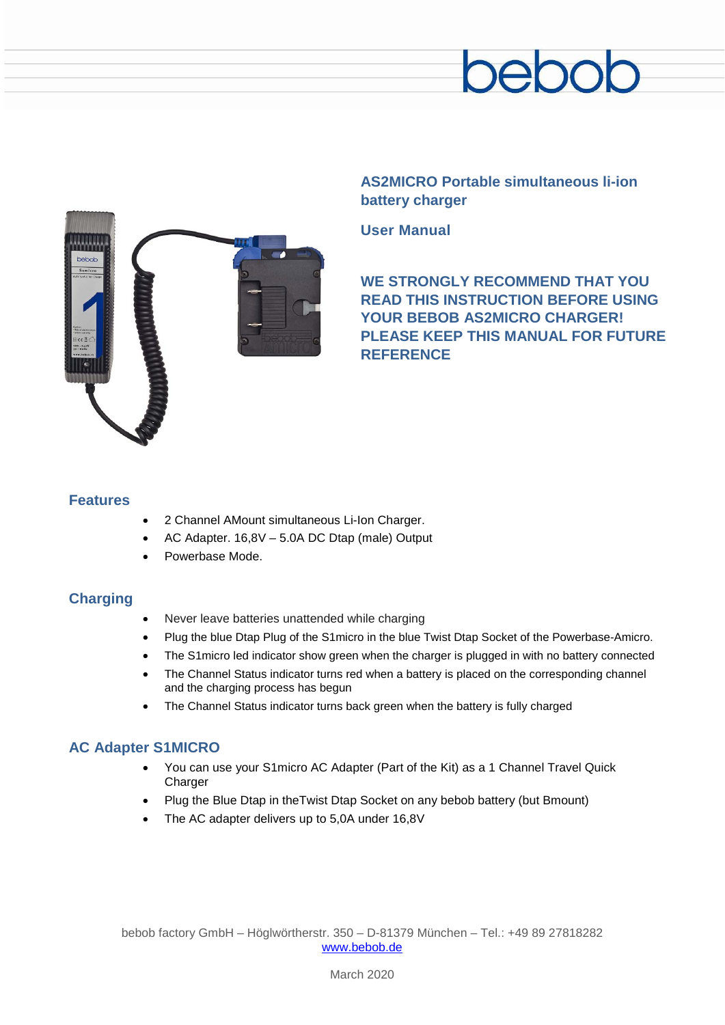



**AS2MICRO Portable simultaneous li-ion battery charger**

**User Manual**

**WE STRONGLY RECOMMEND THAT YOU READ THIS INSTRUCTION BEFORE USING YOUR BEBOB AS2MICRO CHARGER! PLEASE KEEP THIS MANUAL FOR FUTURE REFERENCE**

### **Features**

- 2 Channel AMount simultaneous Li-Ion Charger.
- AC Adapter. 16,8V 5.0A DC Dtap (male) Output
- Powerbase Mode.

# **Charging**

- Never leave batteries unattended while charging
- Plug the blue Dtap Plug of the S1micro in the blue Twist Dtap Socket of the Powerbase-Amicro.
- The S1micro led indicator show green when the charger is plugged in with no battery connected
- The Channel Status indicator turns red when a battery is placed on the corresponding channel and the charging process has begun
- The Channel Status indicator turns back green when the battery is fully charged

# **AC Adapter S1MICRO**

- You can use your S1micro AC Adapter (Part of the Kit) as a 1 Channel Travel Quick Charger
- Plug the Blue Dtap in theTwist Dtap Socket on any bebob battery (but Bmount)
- The AC adapter delivers up to 5,0A under 16,8V